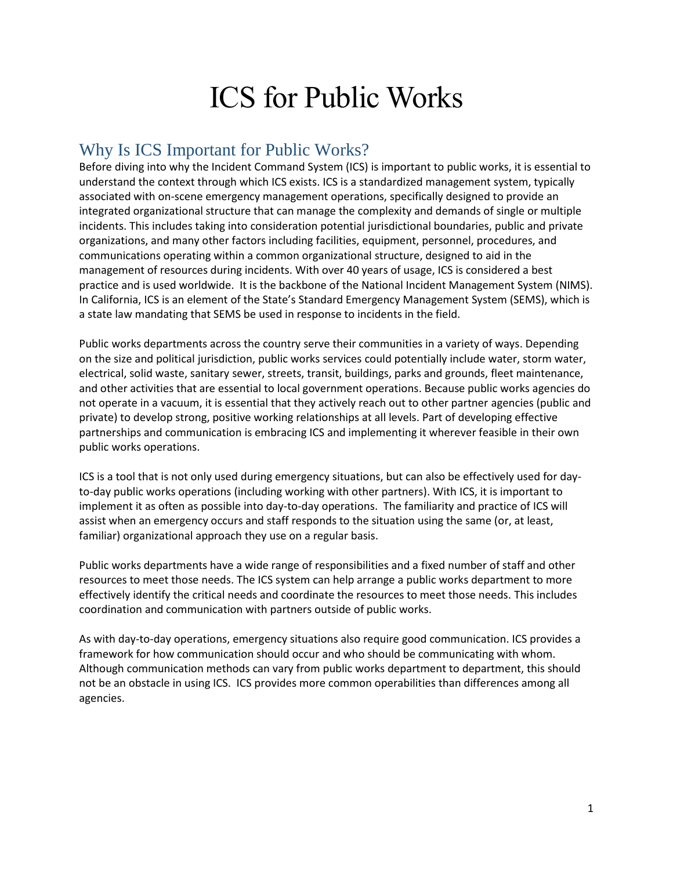# ICS for Public Works

# Why Is ICS Important for Public Works?

Before diving into why the Incident Command System (ICS) is important to public works, it is essential to understand the context through which ICS exists. ICS is a standardized management system, typically associated with on-scene emergency management operations, specifically designed to provide an integrated organizational structure that can manage the complexity and demands of single or multiple incidents. This includes taking into consideration potential jurisdictional boundaries, public and private organizations, and many other factors including facilities, equipment, personnel, procedures, and communications operating within a common organizational structure, designed to aid in the management of resources during incidents. With over 40 years of usage, ICS is considered a best practice and is used worldwide. It is the backbone of the National Incident Management System (NIMS). In California, ICS is an element of the State's Standard Emergency Management System (SEMS), which is a state law mandating that SEMS be used in response to incidents in the field.

Public works departments across the country serve their communities in a variety of ways. Depending on the size and political jurisdiction, public works services could potentially include water, storm water, electrical, solid waste, sanitary sewer, streets, transit, buildings, parks and grounds, fleet maintenance, and other activities that are essential to local government operations. Because public works agencies do not operate in a vacuum, it is essential that they actively reach out to other partner agencies (public and private) to develop strong, positive working relationships at all levels. Part of developing effective partnerships and communication is embracing ICS and implementing it wherever feasible in their own public works operations.

ICS is a tool that is not only used during emergency situations, but can also be effectively used for dayto-day public works operations (including working with other partners). With ICS, it is important to implement it as often as possible into day-to-day operations. The familiarity and practice of ICS will assist when an emergency occurs and staff responds to the situation using the same (or, at least, familiar) organizational approach they use on a regular basis.

Public works departments have a wide range of responsibilities and a fixed number of staff and other resources to meet those needs. The ICS system can help arrange a public works department to more effectively identify the critical needs and coordinate the resources to meet those needs. This includes coordination and communication with partners outside of public works.

As with day-to-day operations, emergency situations also require good communication. ICS provides a framework for how communication should occur and who should be communicating with whom. Although communication methods can vary from public works department to department, this should not be an obstacle in using ICS. ICS provides more common operabilities than differences among all agencies.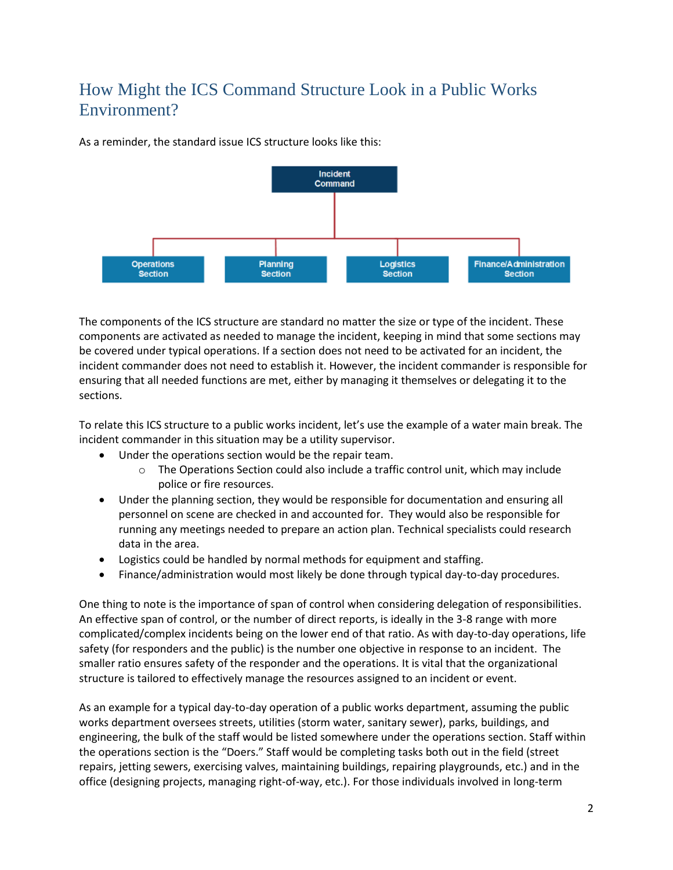# How Might the ICS Command Structure Look in a Public Works Environment?

As a reminder, the standard issue ICS structure looks like this:



The components of the ICS structure are standard no matter the size or type of the incident. These components are activated as needed to manage the incident, keeping in mind that some sections may be covered under typical operations. If a section does not need to be activated for an incident, the incident commander does not need to establish it. However, the incident commander is responsible for ensuring that all needed functions are met, either by managing it themselves or delegating it to the sections.

To relate this ICS structure to a public works incident, let's use the example of a water main break. The incident commander in this situation may be a utility supervisor.

- Under the operations section would be the repair team.
	- $\circ$  The Operations Section could also include a traffic control unit, which may include police or fire resources.
- Under the planning section, they would be responsible for documentation and ensuring all personnel on scene are checked in and accounted for. They would also be responsible for running any meetings needed to prepare an action plan. Technical specialists could research data in the area.
- Logistics could be handled by normal methods for equipment and staffing.
- Finance/administration would most likely be done through typical day-to-day procedures.

One thing to note is the importance of span of control when considering delegation of responsibilities. An effective span of control, or the number of direct reports, is ideally in the 3-8 range with more complicated/complex incidents being on the lower end of that ratio. As with day-to-day operations, life safety (for responders and the public) is the number one objective in response to an incident. The smaller ratio ensures safety of the responder and the operations. It is vital that the organizational structure is tailored to effectively manage the resources assigned to an incident or event.

As an example for a typical day-to-day operation of a public works department, assuming the public works department oversees streets, utilities (storm water, sanitary sewer), parks, buildings, and engineering, the bulk of the staff would be listed somewhere under the operations section. Staff within the operations section is the "Doers." Staff would be completing tasks both out in the field (street repairs, jetting sewers, exercising valves, maintaining buildings, repairing playgrounds, etc.) and in the office (designing projects, managing right-of-way, etc.). For those individuals involved in long-term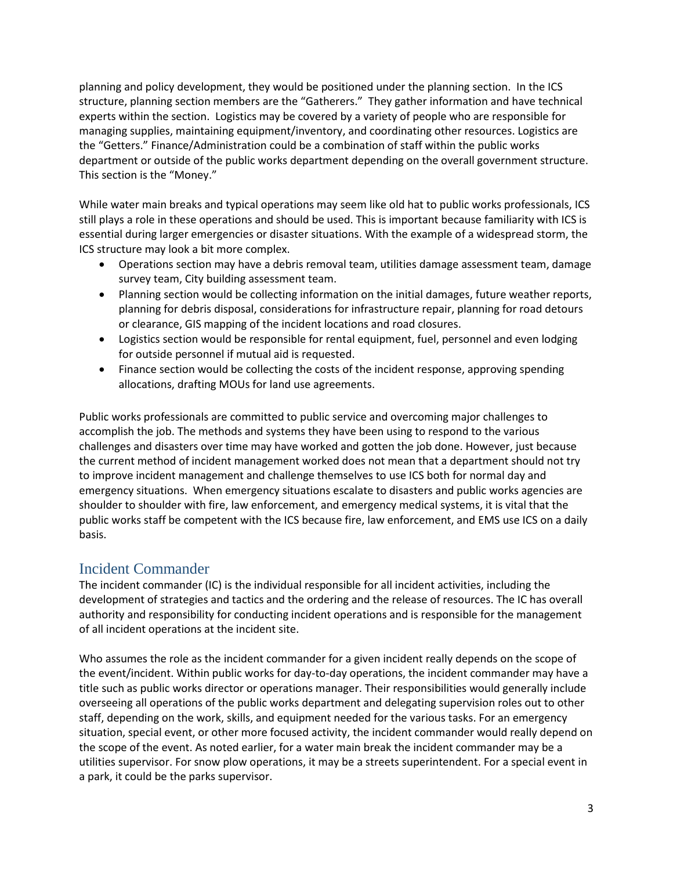planning and policy development, they would be positioned under the planning section. In the ICS structure, planning section members are the "Gatherers." They gather information and have technical experts within the section. Logistics may be covered by a variety of people who are responsible for managing supplies, maintaining equipment/inventory, and coordinating other resources. Logistics are the "Getters." Finance/Administration could be a combination of staff within the public works department or outside of the public works department depending on the overall government structure. This section is the "Money."

While water main breaks and typical operations may seem like old hat to public works professionals, ICS still plays a role in these operations and should be used. This is important because familiarity with ICS is essential during larger emergencies or disaster situations. With the example of a widespread storm, the ICS structure may look a bit more complex.

- Operations section may have a debris removal team, utilities damage assessment team, damage survey team, City building assessment team.
- Planning section would be collecting information on the initial damages, future weather reports, planning for debris disposal, considerations for infrastructure repair, planning for road detours or clearance, GIS mapping of the incident locations and road closures.
- Logistics section would be responsible for rental equipment, fuel, personnel and even lodging for outside personnel if mutual aid is requested.
- Finance section would be collecting the costs of the incident response, approving spending allocations, drafting MOUs for land use agreements.

Public works professionals are committed to public service and overcoming major challenges to accomplish the job. The methods and systems they have been using to respond to the various challenges and disasters over time may have worked and gotten the job done. However, just because the current method of incident management worked does not mean that a department should not try to improve incident management and challenge themselves to use ICS both for normal day and emergency situations. When emergency situations escalate to disasters and public works agencies are shoulder to shoulder with fire, law enforcement, and emergency medical systems, it is vital that the public works staff be competent with the ICS because fire, law enforcement, and EMS use ICS on a daily basis.

#### Incident Commander

The incident commander (IC) is the individual responsible for all incident activities, including the development of strategies and tactics and the ordering and the release of resources. The IC has overall authority and responsibility for conducting incident operations and is responsible for the management of all incident operations at the incident site.

Who assumes the role as the incident commander for a given incident really depends on the scope of the event/incident. Within public works for day-to-day operations, the incident commander may have a title such as public works director or operations manager. Their responsibilities would generally include overseeing all operations of the public works department and delegating supervision roles out to other staff, depending on the work, skills, and equipment needed for the various tasks. For an emergency situation, special event, or other more focused activity, the incident commander would really depend on the scope of the event. As noted earlier, for a water main break the incident commander may be a utilities supervisor. For snow plow operations, it may be a streets superintendent. For a special event in a park, it could be the parks supervisor.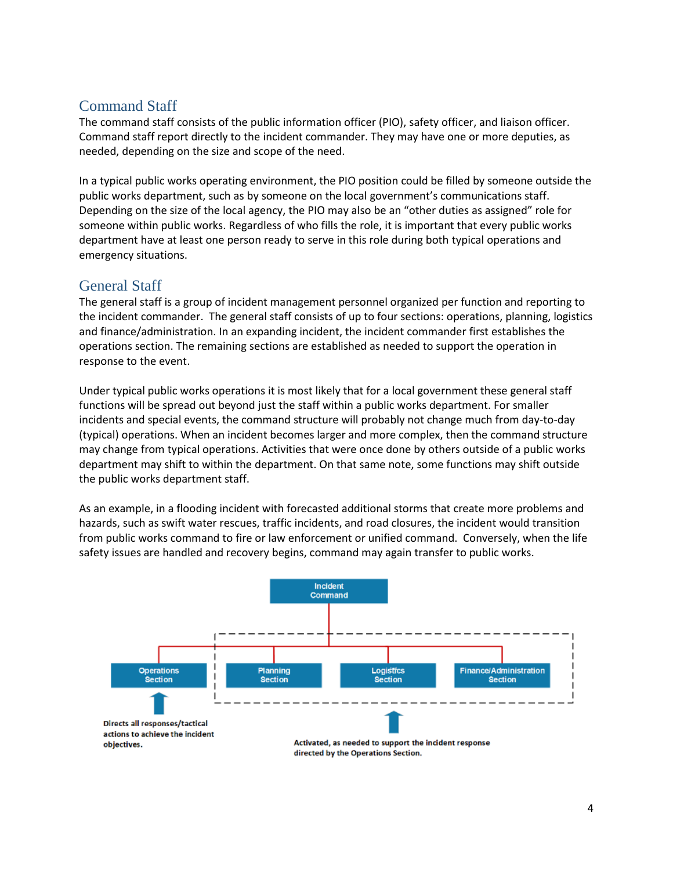#### Command Staff

The command staff consists of the public information officer (PIO), safety officer, and liaison officer. Command staff report directly to the incident commander. They may have one or more deputies, as needed, depending on the size and scope of the need.

In a typical public works operating environment, the PIO position could be filled by someone outside the public works department, such as by someone on the local government's communications staff. Depending on the size of the local agency, the PIO may also be an "other duties as assigned" role for someone within public works. Regardless of who fills the role, it is important that every public works department have at least one person ready to serve in this role during both typical operations and emergency situations.

# General Staff

The general staff is a group of incident management personnel organized per function and reporting to the incident commander. The general staff consists of up to four sections: operations, planning, logistics and finance/administration. In an expanding incident, the incident commander first establishes the operations section. The remaining sections are established as needed to support the operation in response to the event.

Under typical public works operations it is most likely that for a local government these general staff functions will be spread out beyond just the staff within a public works department. For smaller incidents and special events, the command structure will probably not change much from day-to-day (typical) operations. When an incident becomes larger and more complex, then the command structure may change from typical operations. Activities that were once done by others outside of a public works department may shift to within the department. On that same note, some functions may shift outside the public works department staff.

As an example, in a flooding incident with forecasted additional storms that create more problems and hazards, such as swift water rescues, traffic incidents, and road closures, the incident would transition from public works command to fire or law enforcement or unified command. Conversely, when the life safety issues are handled and recovery begins, command may again transfer to public works.

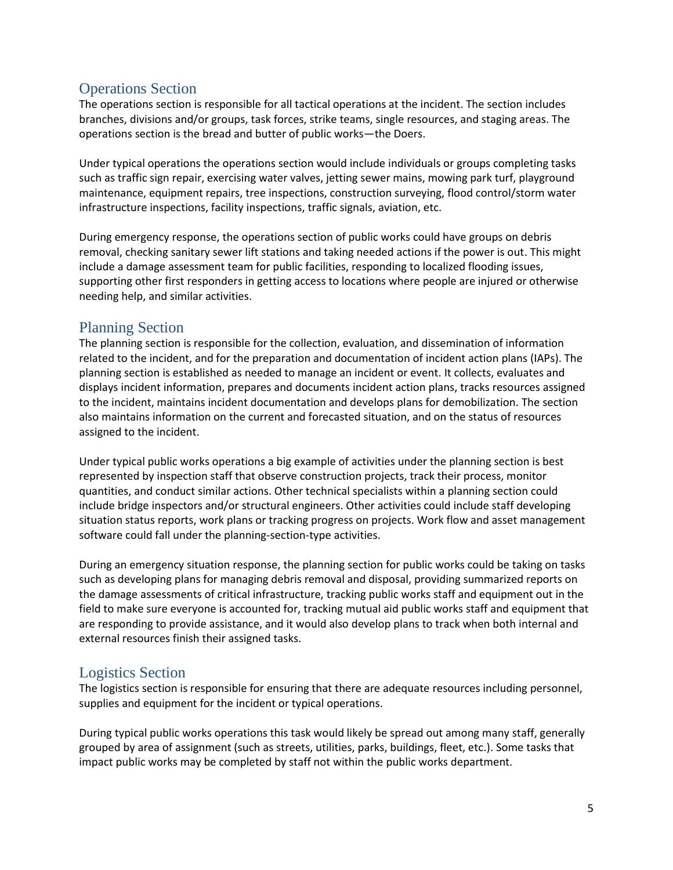#### Operations Section

The operations section is responsible for all tactical operations at the incident. The section includes branches, divisions and/or groups, task forces, strike teams, single resources, and staging areas. The operations section is the bread and butter of public works—the Doers.

Under typical operations the operations section would include individuals or groups completing tasks such as traffic sign repair, exercising water valves, jetting sewer mains, mowing park turf, playground maintenance, equipment repairs, tree inspections, construction surveying, flood control/storm water infrastructure inspections, facility inspections, traffic signals, aviation, etc.

During emergency response, the operations section of public works could have groups on debris removal, checking sanitary sewer lift stations and taking needed actions if the power is out. This might include a damage assessment team for public facilities, responding to localized flooding issues, supporting other first responders in getting access to locations where people are injured or otherwise needing help, and similar activities.

#### Planning Section

The planning section is responsible for the collection, evaluation, and dissemination of information related to the incident, and for the preparation and documentation of incident action plans (IAPs). The planning section is established as needed to manage an incident or event. It collects, evaluates and displays incident information, prepares and documents incident action plans, tracks resources assigned to the incident, maintains incident documentation and develops plans for demobilization. The section also maintains information on the current and forecasted situation, and on the status of resources assigned to the incident.

Under typical public works operations a big example of activities under the planning section is best represented by inspection staff that observe construction projects, track their process, monitor quantities, and conduct similar actions. Other technical specialists within a planning section could include bridge inspectors and/or structural engineers. Other activities could include staff developing situation status reports, work plans or tracking progress on projects. Work flow and asset management software could fall under the planning-section-type activities.

During an emergency situation response, the planning section for public works could be taking on tasks such as developing plans for managing debris removal and disposal, providing summarized reports on the damage assessments of critical infrastructure, tracking public works staff and equipment out in the field to make sure everyone is accounted for, tracking mutual aid public works staff and equipment that are responding to provide assistance, and it would also develop plans to track when both internal and external resources finish their assigned tasks.

# Logistics Section

The logistics section is responsible for ensuring that there are adequate resources including personnel, supplies and equipment for the incident or typical operations.

During typical public works operations this task would likely be spread out among many staff, generally grouped by area of assignment (such as streets, utilities, parks, buildings, fleet, etc.). Some tasks that impact public works may be completed by staff not within the public works department.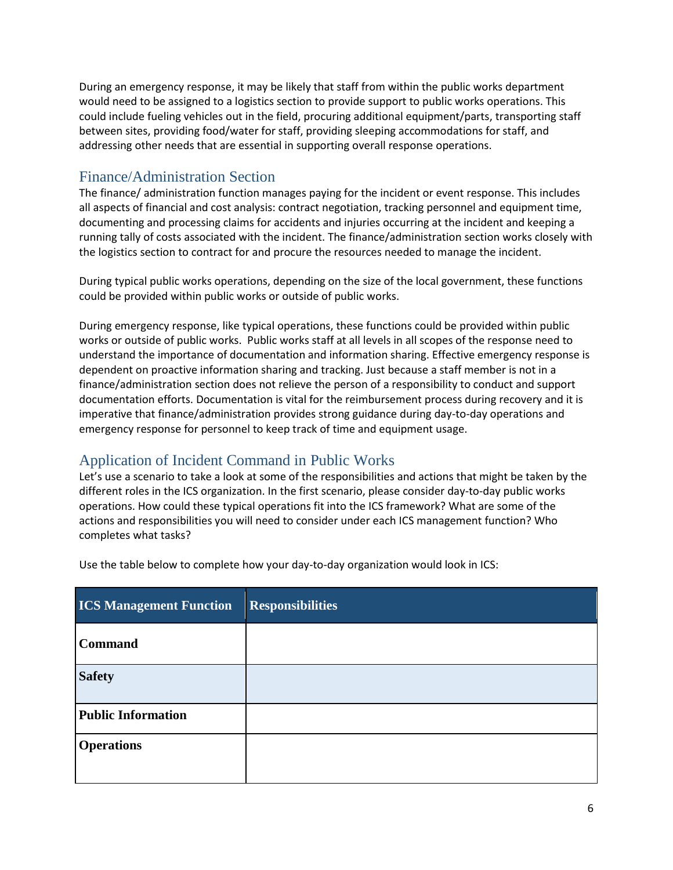During an emergency response, it may be likely that staff from within the public works department would need to be assigned to a logistics section to provide support to public works operations. This could include fueling vehicles out in the field, procuring additional equipment/parts, transporting staff between sites, providing food/water for staff, providing sleeping accommodations for staff, and addressing other needs that are essential in supporting overall response operations.

#### Finance/Administration Section

The finance/ administration function manages paying for the incident or event response. This includes all aspects of financial and cost analysis: contract negotiation, tracking personnel and equipment time, documenting and processing claims for accidents and injuries occurring at the incident and keeping a running tally of costs associated with the incident. The finance/administration section works closely with the logistics section to contract for and procure the resources needed to manage the incident.

During typical public works operations, depending on the size of the local government, these functions could be provided within public works or outside of public works.

During emergency response, like typical operations, these functions could be provided within public works or outside of public works. Public works staff at all levels in all scopes of the response need to understand the importance of documentation and information sharing. Effective emergency response is dependent on proactive information sharing and tracking. Just because a staff member is not in a finance/administration section does not relieve the person of a responsibility to conduct and support documentation efforts. Documentation is vital for the reimbursement process during recovery and it is imperative that finance/administration provides strong guidance during day-to-day operations and emergency response for personnel to keep track of time and equipment usage.

# Application of Incident Command in Public Works

Let's use a scenario to take a look at some of the responsibilities and actions that might be taken by the different roles in the ICS organization. In the first scenario, please consider day-to-day public works operations. How could these typical operations fit into the ICS framework? What are some of the actions and responsibilities you will need to consider under each ICS management function? Who completes what tasks?

| <b>ICS Management Function</b> | <b>Responsibilities</b> |
|--------------------------------|-------------------------|
| <b>Command</b>                 |                         |
| <b>Safety</b>                  |                         |
| <b>Public Information</b>      |                         |
| <b>Operations</b>              |                         |

Use the table below to complete how your day-to-day organization would look in ICS: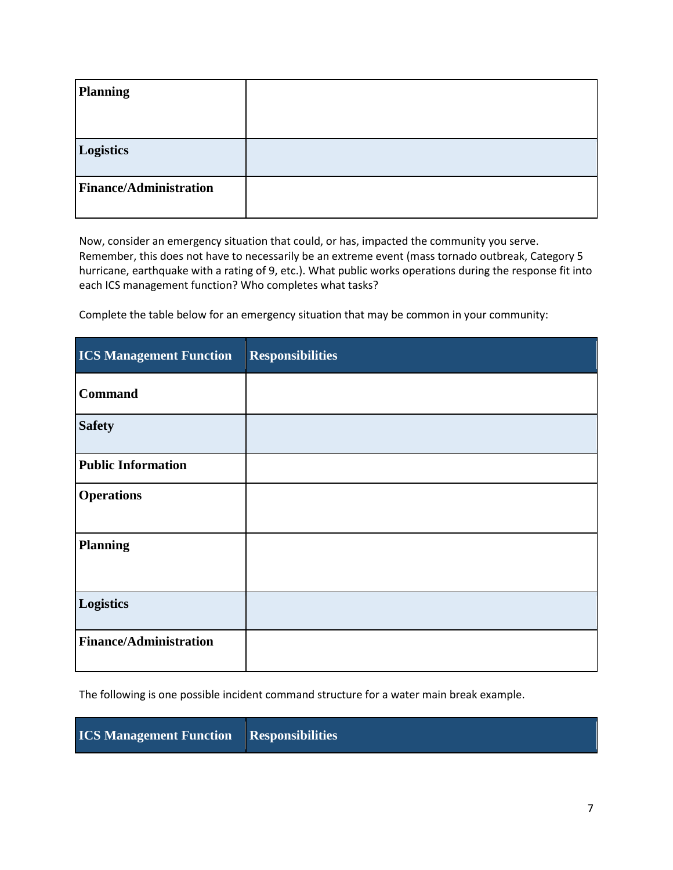| <b>Planning</b>               |  |
|-------------------------------|--|
|                               |  |
| Logistics                     |  |
| <b>Finance/Administration</b> |  |

Now, consider an emergency situation that could, or has, impacted the community you serve. Remember, this does not have to necessarily be an extreme event (mass tornado outbreak, Category 5 hurricane, earthquake with a rating of 9, etc.). What public works operations during the response fit into each ICS management function? Who completes what tasks?

Complete the table below for an emergency situation that may be common in your community:

| <b>ICS Management Function</b> | <b>Responsibilities</b> |
|--------------------------------|-------------------------|
| <b>Command</b>                 |                         |
| <b>Safety</b>                  |                         |
| <b>Public Information</b>      |                         |
| <b>Operations</b>              |                         |
| <b>Planning</b>                |                         |
| Logistics                      |                         |
| <b>Finance/Administration</b>  |                         |

The following is one possible incident command structure for a water main break example.

**ICS Management Function Responsibilities**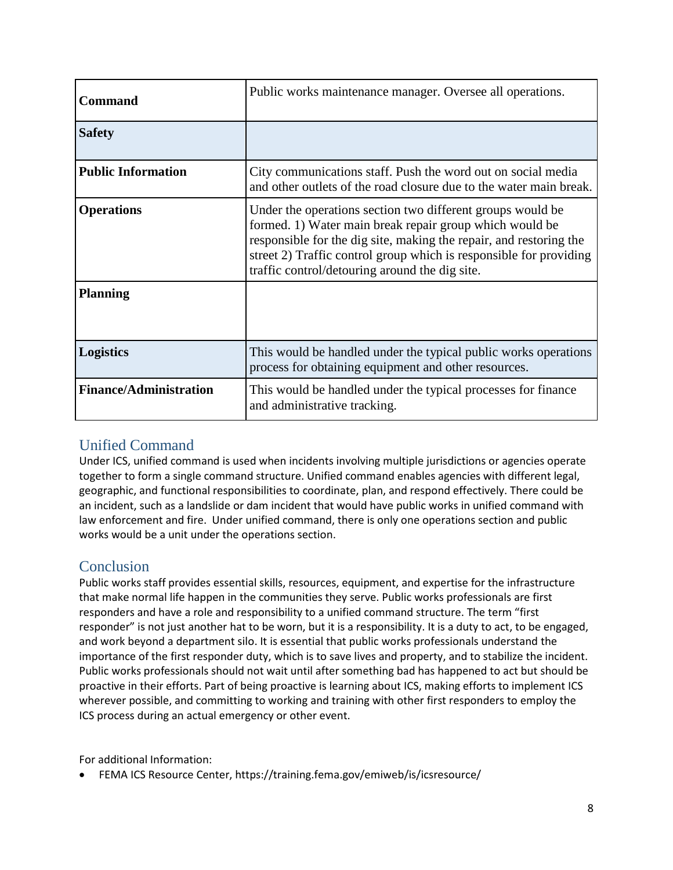| <b>Command</b>                | Public works maintenance manager. Oversee all operations.                                                                                                                                                                                                                                                           |
|-------------------------------|---------------------------------------------------------------------------------------------------------------------------------------------------------------------------------------------------------------------------------------------------------------------------------------------------------------------|
| <b>Safety</b>                 |                                                                                                                                                                                                                                                                                                                     |
| <b>Public Information</b>     | City communications staff. Push the word out on social media<br>and other outlets of the road closure due to the water main break.                                                                                                                                                                                  |
| <b>Operations</b>             | Under the operations section two different groups would be<br>formed. 1) Water main break repair group which would be<br>responsible for the dig site, making the repair, and restoring the<br>street 2) Traffic control group which is responsible for providing<br>traffic control/detouring around the dig site. |
| <b>Planning</b>               |                                                                                                                                                                                                                                                                                                                     |
| <b>Logistics</b>              | This would be handled under the typical public works operations<br>process for obtaining equipment and other resources.                                                                                                                                                                                             |
| <b>Finance/Administration</b> | This would be handled under the typical processes for finance<br>and administrative tracking.                                                                                                                                                                                                                       |

# Unified Command

Under ICS, unified command is used when incidents involving multiple jurisdictions or agencies operate together to form a single command structure. Unified command enables agencies with different legal, geographic, and functional responsibilities to coordinate, plan, and respond effectively. There could be an incident, such as a landslide or dam incident that would have public works in unified command with law enforcement and fire. Under unified command, there is only one operations section and public works would be a unit under the operations section.

# **Conclusion**

Public works staff provides essential skills, resources, equipment, and expertise for the infrastructure that make normal life happen in the communities they serve. Public works professionals are first responders and have a role and responsibility to a unified command structure. The term "first responder" is not just another hat to be worn, but it is a responsibility. It is a duty to act, to be engaged, and work beyond a department silo. It is essential that public works professionals understand the importance of the first responder duty, which is to save lives and property, and to stabilize the incident. Public works professionals should not wait until after something bad has happened to act but should be proactive in their efforts. Part of being proactive is learning about ICS, making efforts to implement ICS wherever possible, and committing to working and training with other first responders to employ the ICS process during an actual emergency or other event.

For additional Information:

• FEMA ICS Resource Center,<https://training.fema.gov/emiweb/is/icsresource/>